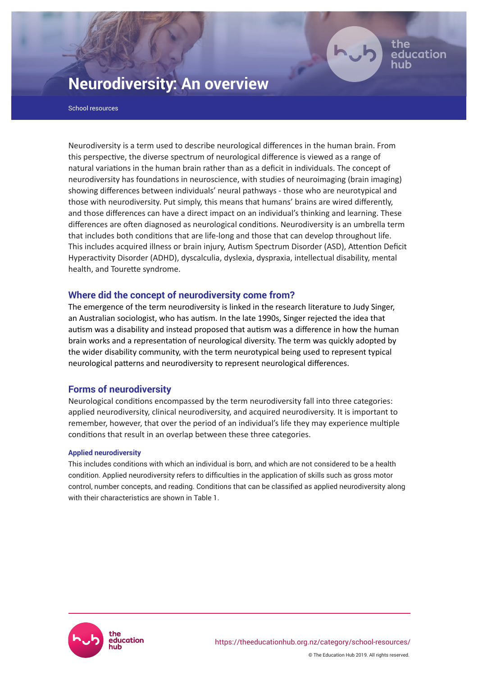

the

# **Neurodiversity: An overview**

School resources

Neurodiversity is a term used to describe neurological differences in the human brain. From this perspective, the diverse spectrum of neurological difference is viewed as a range of natural variations in the human brain rather than as a deficit in individuals. The concept of neurodiversity has foundations in neuroscience, with studies of neuroimaging (brain imaging) showing differences between individuals' neural pathways - those who are neurotypical and those with neurodiversity. Put simply, this means that humans' brains are wired differently, and those differences can have a direct impact on an individual's thinking and learning. These differences are often diagnosed as neurological conditions. Neurodiversity is an umbrella term that includes both conditions that are life-long and those that can develop throughout life. This includes acquired illness or brain injury, Autism Spectrum Disorder (ASD), Attention Deficit Hyperactivity Disorder (ADHD), dyscalculia, dyslexia, dyspraxia, intellectual disability, mental health, and Tourette syndrome.

## **Where did the concept of neurodiversity come from?**

The emergence of the term neurodiversity is linked in the research literature to Judy Singer, an Australian sociologist, who has autism. In the late 1990s, Singer rejected the idea that autism was a disability and instead proposed that autism was a difference in how the human brain works and a representation of neurological diversity. The term was quickly adopted by the wider disability community, with the term neurotypical being used to represent typical neurological patterns and neurodiversity to represent neurological differences.

## **Forms of neurodiversity**

Neurological conditions encompassed by the term neurodiversity fall into three categories: applied neurodiversity, clinical neurodiversity, and acquired neurodiversity. It is important to remember, however, that over the period of an individual's life they may experience multiple conditions that result in an overlap between these three categories.

#### **Applied neurodiversity**

This includes conditions with which an individual is born, and which are not considered to be a health condition. Applied neurodiversity refers to difficulties in the application of skills such as gross motor control, number concepts, and reading. Conditions that can be classified as applied neurodiversity along with their characteristics are shown in Table 1.

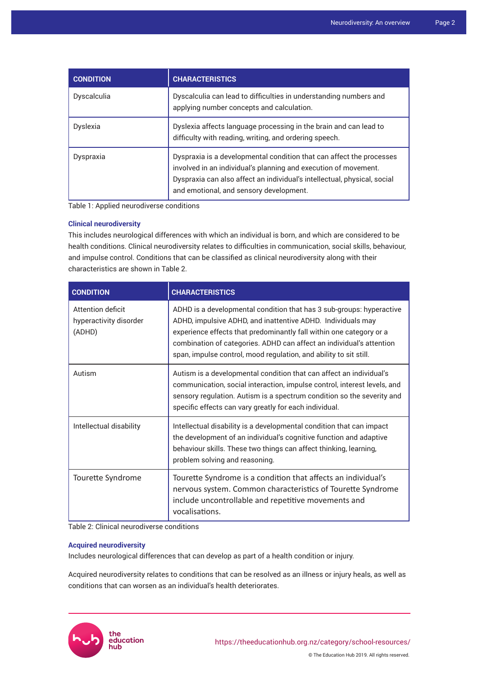| <b>CONDITION</b> | <b>CHARACTERISTICS</b>                                                                                                                                                                                                                                         |
|------------------|----------------------------------------------------------------------------------------------------------------------------------------------------------------------------------------------------------------------------------------------------------------|
| Dyscalculia      | Dyscalculia can lead to difficulties in understanding numbers and<br>applying number concepts and calculation.                                                                                                                                                 |
| <b>Dyslexia</b>  | Dyslexia affects language processing in the brain and can lead to<br>difficulty with reading, writing, and ordering speech.                                                                                                                                    |
| Dyspraxia        | Dyspraxia is a developmental condition that can affect the processes<br>involved in an individual's planning and execution of movement.<br>Dyspraxia can also affect an individual's intellectual, physical, social<br>and emotional, and sensory development. |

Table 1: Applied neurodiverse conditions

#### **Clinical neurodiversity**

This includes neurological differences with which an individual is born, and which are considered to be health conditions. Clinical neurodiversity relates to difficulties in communication, social skills, behaviour, and impulse control. Conditions that can be classified as clinical neurodiversity along with their characteristics are shown in Table 2.

| <b>CONDITION</b>                                      | <b>CHARACTERISTICS</b>                                                                                                                                                                                                                                                                                                                                  |
|-------------------------------------------------------|---------------------------------------------------------------------------------------------------------------------------------------------------------------------------------------------------------------------------------------------------------------------------------------------------------------------------------------------------------|
| Attention deficit<br>hyperactivity disorder<br>(ADHD) | ADHD is a developmental condition that has 3 sub-groups: hyperactive<br>ADHD, impulsive ADHD, and inattentive ADHD. Individuals may<br>experience effects that predominantly fall within one category or a<br>combination of categories. ADHD can affect an individual's attention<br>span, impulse control, mood regulation, and ability to sit still. |
| Autism                                                | Autism is a developmental condition that can affect an individual's<br>communication, social interaction, impulse control, interest levels, and<br>sensory regulation. Autism is a spectrum condition so the severity and<br>specific effects can vary greatly for each individual.                                                                     |
| Intellectual disability                               | Intellectual disability is a developmental condition that can impact<br>the development of an individual's cognitive function and adaptive<br>behaviour skills. These two things can affect thinking, learning,<br>problem solving and reasoning.                                                                                                       |
| Tourette Syndrome                                     | Tourette Syndrome is a condition that affects an individual's<br>nervous system. Common characteristics of Tourette Syndrome<br>include uncontrollable and repetitive movements and<br>vocalisations.                                                                                                                                                   |

Table 2: Clinical neurodiverse conditions

#### **Acquired neurodiversity**

Includes neurological differences that can develop as part of a health condition or injury.

Acquired neurodiversity relates to conditions that can be resolved as an illness or injury heals, as well as conditions that can worsen as an individual's health deteriorates.

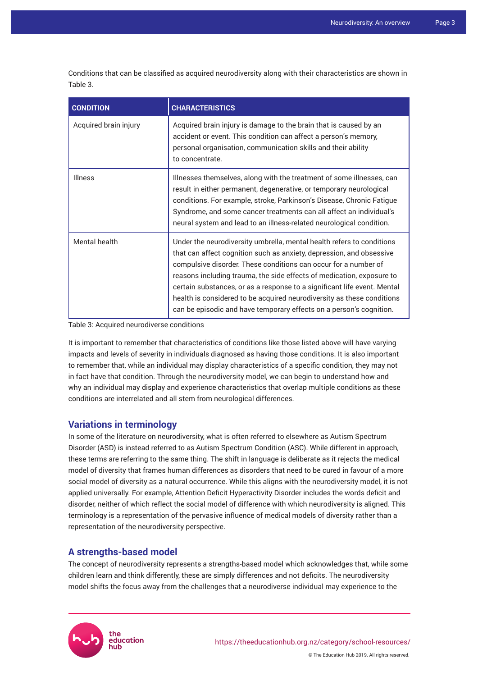Conditions that can be classified as acquired neurodiversity along with their characteristics are shown in Table 3.

| <b>CONDITION</b>      | <b>CHARACTERISTICS</b>                                                                                                                                                                                                                                                                                                                                                                                                                                                                                                 |
|-----------------------|------------------------------------------------------------------------------------------------------------------------------------------------------------------------------------------------------------------------------------------------------------------------------------------------------------------------------------------------------------------------------------------------------------------------------------------------------------------------------------------------------------------------|
| Acquired brain injury | Acquired brain injury is damage to the brain that is caused by an<br>accident or event. This condition can affect a person's memory,<br>personal organisation, communication skills and their ability<br>to concentrate.                                                                                                                                                                                                                                                                                               |
| <b>Illness</b>        | Illnesses themselves, along with the treatment of some illnesses, can<br>result in either permanent, degenerative, or temporary neurological<br>conditions. For example, stroke, Parkinson's Disease, Chronic Fatigue<br>Syndrome, and some cancer treatments can all affect an individual's<br>neural system and lead to an illness-related neurological condition.                                                                                                                                                   |
| Mental health         | Under the neurodiversity umbrella, mental health refers to conditions<br>that can affect cognition such as anxiety, depression, and obsessive<br>compulsive disorder. These conditions can occur for a number of<br>reasons including trauma, the side effects of medication, exposure to<br>certain substances, or as a response to a significant life event. Mental<br>health is considered to be acquired neurodiversity as these conditions<br>can be episodic and have temporary effects on a person's cognition. |

Table 3: Acquired neurodiverse conditions

It is important to remember that characteristics of conditions like those listed above will have varying impacts and levels of severity in individuals diagnosed as having those conditions. It is also important to remember that, while an individual may display characteristics of a specific condition, they may not in fact have that condition. Through the neurodiversity model, we can begin to understand how and why an individual may display and experience characteristics that overlap multiple conditions as these conditions are interrelated and all stem from neurological differences.

## **Variations in terminology**

In some of the literature on neurodiversity, what is often referred to elsewhere as Autism Spectrum Disorder (ASD) is instead referred to as Autism Spectrum Condition (ASC). While different in approach, these terms are referring to the same thing. The shift in language is deliberate as it rejects the medical model of diversity that frames human differences as disorders that need to be cured in favour of a more social model of diversity as a natural occurrence. While this aligns with the neurodiversity model, it is not applied universally. For example, Attention Deficit Hyperactivity Disorder includes the words deficit and disorder, neither of which reflect the social model of difference with which neurodiversity is aligned. This terminology is a representation of the pervasive influence of medical models of diversity rather than a representation of the neurodiversity perspective.

### **A strengths-based model**

The concept of neurodiversity represents a strengths-based model which acknowledges that, while some children learn and think differently, these are simply differences and not deficits. The neurodiversity model shifts the focus away from the challenges that a neurodiverse individual may experience to the

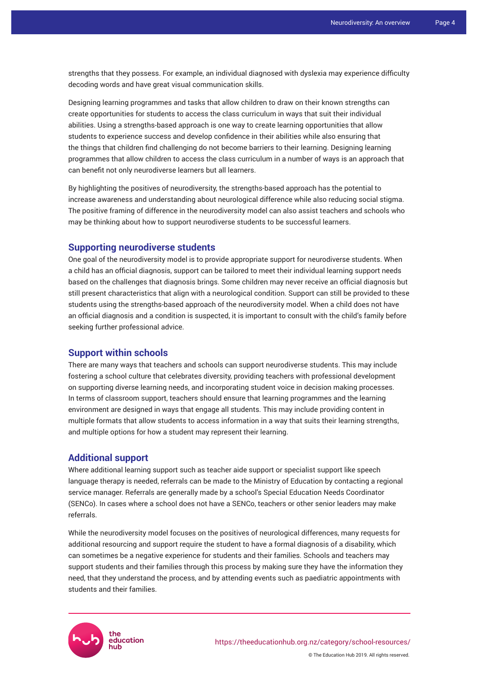strengths that they possess. For example, an individual diagnosed with dyslexia may experience difficulty decoding words and have great visual communication skills.

Designing learning programmes and tasks that allow children to draw on their known strengths can create opportunities for students to access the class curriculum in ways that suit their individual abilities. Using a strengths-based approach is one way to create learning opportunities that allow students to experience success and develop confidence in their abilities while also ensuring that the things that children find challenging do not become barriers to their learning. Designing learning programmes that allow children to access the class curriculum in a number of ways is an approach that can benefit not only neurodiverse learners but all learners.

By highlighting the positives of neurodiversity, the strengths-based approach has the potential to increase awareness and understanding about neurological difference while also reducing social stigma. The positive framing of difference in the neurodiversity model can also assist teachers and schools who may be thinking about how to support neurodiverse students to be successful learners.

#### **Supporting neurodiverse students**

One goal of the neurodiversity model is to provide appropriate support for neurodiverse students. When a child has an official diagnosis, support can be tailored to meet their individual learning support needs based on the challenges that diagnosis brings. Some children may never receive an official diagnosis but still present characteristics that align with a neurological condition. Support can still be provided to these students using the strengths-based approach of the neurodiversity model. When a child does not have an official diagnosis and a condition is suspected, it is important to consult with the child's family before seeking further professional advice.

#### **Support within schools**

There are many ways that teachers and schools can support neurodiverse students. This may include fostering a school culture that celebrates diversity, providing teachers with professional development on supporting diverse learning needs, and incorporating student voice in decision making processes. In terms of classroom support, teachers should ensure that learning programmes and the learning environment are designed in ways that engage all students. This may include providing content in multiple formats that allow students to access information in a way that suits their learning strengths, and multiple options for how a student may represent their learning.

### **Additional support**

Where additional learning support such as teacher aide support or specialist support like speech language therapy is needed, referrals can be made to the Ministry of Education by contacting a regional service manager. Referrals are generally made by a school's Special Education Needs Coordinator (SENCo). In cases where a school does not have a SENCo, teachers or other senior leaders may make referrals.

While the neurodiversity model focuses on the positives of neurological differences, many requests for additional resourcing and support require the student to have a formal diagnosis of a disability, which can sometimes be a negative experience for students and their families. Schools and teachers may support students and their families through this process by making sure they have the information they need, that they understand the process, and by attending events such as paediatric appointments with students and their families.

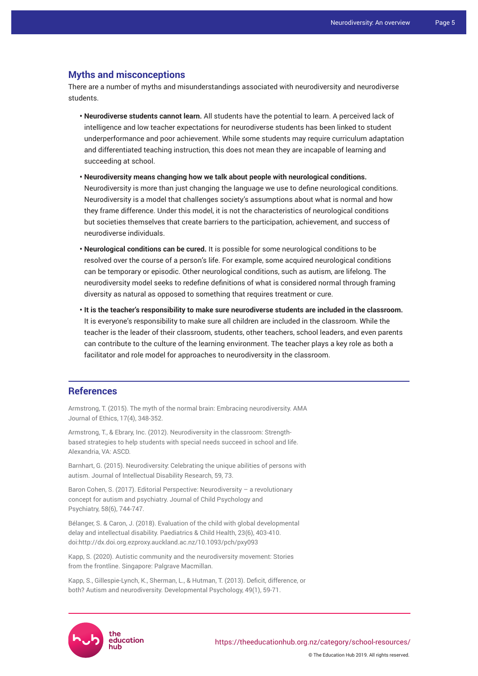#### **Myths and misconceptions**

There are a number of myths and misunderstandings associated with neurodiversity and neurodiverse students.

- **Neurodiverse students cannot learn.** All students have the potential to learn. A perceived lack of intelligence and low teacher expectations for neurodiverse students has been linked to student underperformance and poor achievement. While some students may require curriculum adaptation and differentiated teaching instruction, this does not mean they are incapable of learning and succeeding at school.
- **Neurodiversity means changing how we talk about people with neurological conditions.**  Neurodiversity is more than just changing the language we use to define neurological conditions. Neurodiversity is a model that challenges society's assumptions about what is normal and how they frame difference. Under this model, it is not the characteristics of neurological conditions but societies themselves that create barriers to the participation, achievement, and success of neurodiverse individuals.
- **Neurological conditions can be cured.** It is possible for some neurological conditions to be resolved over the course of a person's life. For example, some acquired neurological conditions can be temporary or episodic. Other neurological conditions, such as autism, are lifelong. The neurodiversity model seeks to redefine definitions of what is considered normal through framing diversity as natural as opposed to something that requires treatment or cure.
- **It is the teacher's responsibility to make sure neurodiverse students are included in the classroom.**  It is everyone's responsibility to make sure all children are included in the classroom. While the teacher is the leader of their classroom, students, other teachers, school leaders, and even parents can contribute to the culture of the learning environment. The teacher plays a key role as both a facilitator and role model for approaches to neurodiversity in the classroom.

#### **References**

Armstrong, T. (2015). The myth of the normal brain: Embracing neurodiversity. AMA Journal of Ethics, 17(4), 348-352.

Armstrong, T., & Ebrary, Inc. (2012). Neurodiversity in the classroom: Strengthbased strategies to help students with special needs succeed in school and life. Alexandria, VA: ASCD.

Barnhart, G. (2015). Neurodiversity: Celebrating the unique abilities of persons with autism. Journal of Intellectual Disability Research, 59, 73.

Baron Cohen, S. (2017). Editorial Perspective: Neurodiversity – a revolutionary concept for autism and psychiatry. Journal of Child Psychology and Psychiatry, 58(6), 744-747.

Bélanger, S. & Caron, J. (2018). Evaluation of the child with global developmental delay and intellectual disability. Paediatrics & Child Health, 23(6), 403-410. doi:http://dx.doi.org.ezproxy.auckland.ac.nz/10.1093/pch/pxy093

Kapp, S. (2020). Autistic community and the neurodiversity movement: Stories from the frontline. Singapore: Palgrave Macmillan.

Kapp, S., Gillespie-Lynch, K., Sherman, L., & Hutman, T. (2013). Deficit, difference, or both? Autism and neurodiversity. Developmental Psychology, 49(1), 59-71.